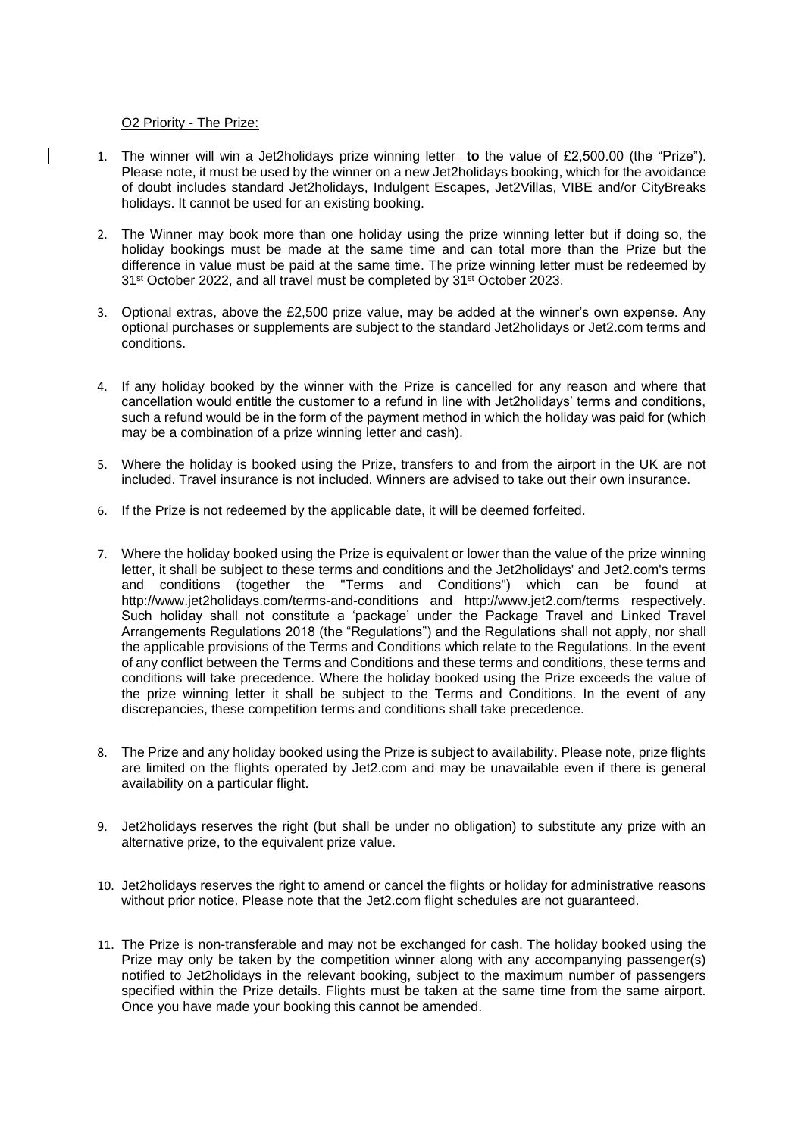## O2 Priority - The Prize:

- 1. The winner will win a Jet2holidays prize winning letter **to** the value of £2,500.00 (the "Prize"). Please note, it must be used by the winner on a new Jet2holidays booking, which for the avoidance of doubt includes standard Jet2holidays, Indulgent Escapes, Jet2Villas, VIBE and/or CityBreaks holidays. It cannot be used for an existing booking.
- 2. The Winner may book more than one holiday using the prize winning letter but if doing so, the holiday bookings must be made at the same time and can total more than the Prize but the difference in value must be paid at the same time. The prize winning letter must be redeemed by 31<sup>st</sup> October 2022, and all travel must be completed by 31<sup>st</sup> October 2023.
- 3. Optional extras, above the £2,500 prize value, may be added at the winner's own expense. Any optional purchases or supplements are subject to the standard Jet2holidays or Jet2.com terms and conditions.
- 4. If any holiday booked by the winner with the Prize is cancelled for any reason and where that cancellation would entitle the customer to a refund in line with Jet2holidays' terms and conditions, such a refund would be in the form of the payment method in which the holiday was paid for (which may be a combination of a prize winning letter and cash).
- 5. Where the holiday is booked using the Prize, transfers to and from the airport in the UK are not included. Travel insurance is not included. Winners are advised to take out their own insurance.
- 6. If the Prize is not redeemed by the applicable date, it will be deemed forfeited.
- 7. Where the holiday booked using the Prize is equivalent or lower than the value of the prize winning letter, it shall be subject to these terms and conditions and the Jet2holidays' and Jet2.com's terms and conditions (together the "Terms and Conditions") which can be found at http://www.jet2holidays.com/terms-and-conditions and http://www.jet2.com/terms respectively. Such holiday shall not constitute a 'package' under the Package Travel and Linked Travel Arrangements Regulations 2018 (the "Regulations") and the Regulations shall not apply, nor shall the applicable provisions of the Terms and Conditions which relate to the Regulations. In the event of any conflict between the Terms and Conditions and these terms and conditions, these terms and conditions will take precedence. Where the holiday booked using the Prize exceeds the value of the prize winning letter it shall be subject to the Terms and Conditions. In the event of any discrepancies, these competition terms and conditions shall take precedence.
- 8. The Prize and any holiday booked using the Prize is subject to availability. Please note, prize flights are limited on the flights operated by Jet2.com and may be unavailable even if there is general availability on a particular flight.
- 9. Jet2holidays reserves the right (but shall be under no obligation) to substitute any prize with an alternative prize, to the equivalent prize value.
- 10. Jet2holidays reserves the right to amend or cancel the flights or holiday for administrative reasons without prior notice. Please note that the Jet2.com flight schedules are not guaranteed.
- 11. The Prize is non-transferable and may not be exchanged for cash. The holiday booked using the Prize may only be taken by the competition winner along with any accompanying passenger(s) notified to Jet2holidays in the relevant booking, subject to the maximum number of passengers specified within the Prize details. Flights must be taken at the same time from the same airport. Once you have made your booking this cannot be amended.